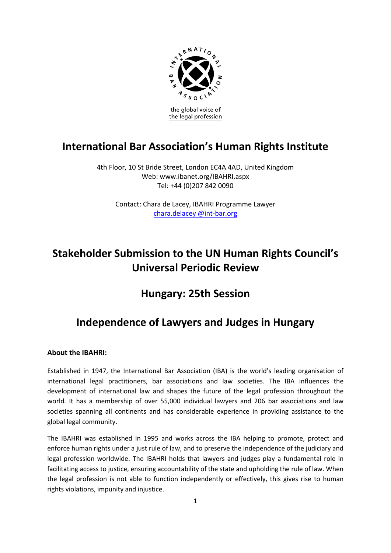

the global voice of the legal profession

## **International Bar Association's Human Rights Institute**

4th Floor, 10 St Bride Street, London EC4A 4AD, United Kingdom Web: www.ibanet.org/IBAHRI.aspx Tel: +44 (0)207 842 0090

Contact: Chara de Lacey, IBAHRI Programme Lawyer [chara.delacey @int-bar.org](mailto:eka.iakobishvili@int-bar.org)

# **Stakeholder Submission to the UN Human Rights Council's Universal Periodic Review**

## **Hungary: 25th Session**

# **Independence of Lawyers and Judges in Hungary**

## **About the IBAHRI:**

Established in 1947, the International Bar Association (IBA) is the world's leading organisation of international legal practitioners, bar associations and law societies. The IBA influences the development of international law and shapes the future of the legal profession throughout the world. It has a membership of over 55,000 individual lawyers and 206 bar associations and law societies spanning all continents and has considerable experience in providing assistance to the global legal community.

The IBAHRI was established in 1995 and works across the IBA helping to promote, protect and enforce human rights under a just rule of law, and to preserve the independence of the judiciary and legal profession worldwide. The IBAHRI holds that lawyers and judges play a fundamental role in facilitating access to justice, ensuring accountability of the state and upholding the rule of law. When the legal profession is not able to function independently or effectively, this gives rise to human rights violations, impunity and injustice.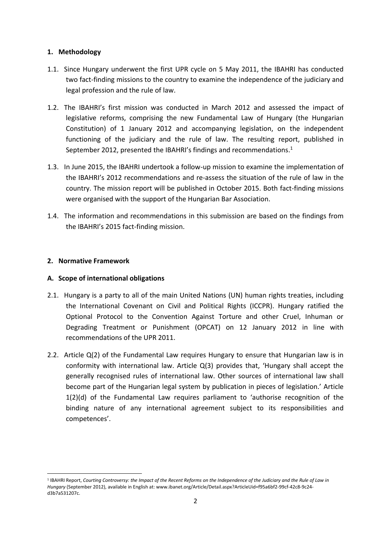## **1. Methodology**

- 1.1. Since Hungary underwent the first UPR cycle on 5 May 2011, the IBAHRI has conducted two fact-finding missions to the country to examine the independence of the judiciary and legal profession and the rule of law.
- 1.2. The IBAHRI's first mission was conducted in March 2012 and assessed the impact of legislative reforms, comprising the new Fundamental Law of Hungary (the Hungarian Constitution) of 1 January 2012 and accompanying legislation, on the independent functioning of the judiciary and the rule of law. The resulting report, published in September 2012, presented the IBAHRI's findings and recommendations.<sup>1</sup>
- 1.3. In June 2015, the IBAHRI undertook a follow-up mission to examine the implementation of the IBAHRI's 2012 recommendations and re-assess the situation of the rule of law in the country. The mission report will be published in October 2015. Both fact-finding missions were organised with the support of the Hungarian Bar Association.
- 1.4. The information and recommendations in this submission are based on the findings from the IBAHRI's 2015 fact-finding mission.

## **2. Normative Framework**

1

## **A. Scope of international obligations**

- 2.1. Hungary is a party to all of the main United Nations (UN) human rights treaties, including the International Covenant on Civil and Political Rights (ICCPR). Hungary ratified the Optional Protocol to the Convention Against Torture and other Cruel, Inhuman or Degrading Treatment or Punishment (OPCAT) on 12 January 2012 in line with recommendations of the UPR 2011.
- 2.2. Article Q(2) of the Fundamental Law requires Hungary to ensure that Hungarian law is in conformity with international law. Article Q(3) provides that, 'Hungary shall accept the generally recognised rules of international law. Other sources of international law shall become part of the Hungarian legal system by publication in pieces of legislation.' Article 1(2)(d) of the Fundamental Law requires parliament to 'authorise recognition of the binding nature of any international agreement subject to its responsibilities and competences'.

<sup>&</sup>lt;sup>1</sup> IBAHRI Report, Courting Controversy: the Impact of the Recent Reforms on the Independence of the Judiciary and the Rule of Law in *Hungary* (September 2012), available in English at: www.ibanet.org/Article/Detail.aspx?ArticleUid=f95a6bf2-99cf-42c8-9c24 d3b7a531207c.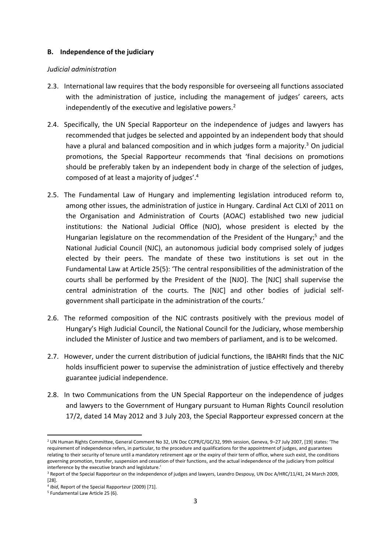#### **B. Independence of the judiciary**

#### *Judicial administration*

- 2.3. International law requires that the body responsible for overseeing all functions associated with the administration of justice, including the management of judges' careers, acts independently of the executive and legislative powers.<sup>2</sup>
- 2.4. Specifically, the UN Special Rapporteur on the independence of judges and lawyers has recommended that judges be selected and appointed by an independent body that should have a plural and balanced composition and in which judges form a majority.<sup>3</sup> On judicial promotions, the Special Rapporteur recommends that 'final decisions on promotions should be preferably taken by an independent body in charge of the selection of judges, composed of at least a majority of judges'.<sup>4</sup>
- 2.5. The Fundamental Law of Hungary and implementing legislation introduced reform to, among other issues, the administration of justice in Hungary. Cardinal Act CLXI of 2011 on the Organisation and Administration of Courts (AOAC) established two new judicial institutions: the National Judicial Office (NJO), whose president is elected by the Hungarian legislature on the recommendation of the President of the Hungary; <sup>5</sup> and the National Judicial Council (NJC), an autonomous judicial body comprised solely of judges elected by their peers. The mandate of these two institutions is set out in the Fundamental Law at Article 25(5): 'The central responsibilities of the administration of the courts shall be performed by the President of the [NJO]. The [NJC] shall supervise the central administration of the courts. The [NJC] and other bodies of judicial selfgovernment shall participate in the administration of the courts.'
- 2.6. The reformed composition of the NJC contrasts positively with the previous model of Hungary's High Judicial Council, the National Council for the Judiciary, whose membership included the Minister of Justice and two members of parliament, and is to be welcomed.
- 2.7. However, under the current distribution of judicial functions, the IBAHRI finds that the NJC holds insufficient power to supervise the administration of justice effectively and thereby guarantee judicial independence.
- 2.8. In two Communications from the UN Special Rapporteur on the independence of judges and lawyers to the Government of Hungary pursuant to Human Rights Council resolution 17/2, dated 14 May 2012 and 3 July 203, the Special Rapporteur expressed concern at the

**.** 

<sup>2</sup> UN Human Rights Committee, General Comment No 32, UN Doc CCPR/C/GC/32, 99th session, Geneva, 9–27 July 2007, [19] states: 'The requirement of independence refers, in particular, to the procedure and qualifications for the appointment of judges, and guarantees relating to their security of tenure until a mandatory retirement age or the expiry of their term of office, where such exist, the conditions governing promotion, transfer, suspension and cessation of their functions, and the actual independence of the judiciary from political interference by the executive branch and legislature.'

<sup>&</sup>lt;sup>3</sup> Report of the Special Rapporteur on the independence of judges and lawyers, Leandro Despouy, UN Doc A/HRC/11/41, 24 March 2009, [28].

<sup>4</sup> *Ibid*, Report of the Special Rapporteur (2009) [71].

<sup>5</sup> Fundamental Law Article 25 (6).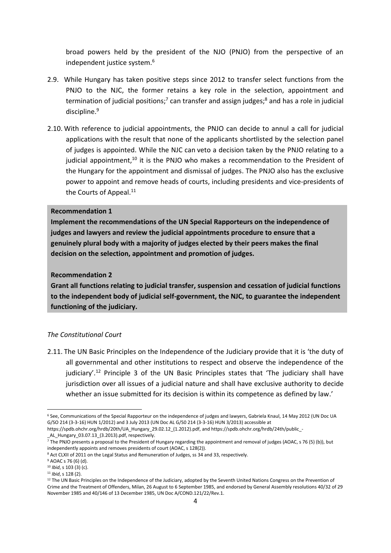broad powers held by the president of the NJO (PNJO) from the perspective of an independent justice system.<sup>6</sup>

- 2.9. While Hungary has taken positive steps since 2012 to transfer select functions from the PNJO to the NJC, the former retains a key role in the selection, appointment and termination of judicial positions;<sup>7</sup> can transfer and assign judges;<sup>8</sup> and has a role in judicial discipline. 9
- 2.10. With reference to judicial appointments, the PNJO can decide to annul a call for judicial applications with the result that none of the applicants shortlisted by the selection panel of judges is appointed. While the NJC can veto a decision taken by the PNJO relating to a judicial appointment,<sup>10</sup> it is the PNJO who makes a recommendation to the President of the Hungary for the appointment and dismissal of judges. The PNJO also has the exclusive power to appoint and remove heads of courts, including presidents and vice-presidents of the Courts of Appeal.<sup>11</sup>

#### **Recommendation 1**

**Implement the recommendations of the UN Special Rapporteurs on the independence of judges and lawyers and review the judicial appointments procedure to ensure that a genuinely plural body with a majority of judges elected by their peers makes the final decision on the selection, appointment and promotion of judges.** 

#### **Recommendation 2**

**Grant all functions relating to judicial transfer, suspension and cessation of judicial functions to the independent body of judicial self-government, the NJC, to guarantee the independent functioning of the judiciary.**

### *The Constitutional Court*

2.11. The UN Basic Principles on the Independence of the Judiciary provide that it is 'the duty of all governmental and other institutions to respect and observe the independence of the judiciary'.<sup>12</sup> Principle 3 of the UN Basic Principles states that 'The judiciary shall have jurisdiction over all issues of a judicial nature and shall have exclusive authority to decide whether an issue submitted for its decision is within its competence as defined by law.'

 $\overline{a}$ 

<sup>6</sup> See, Communications of the Special Rapporteur on the independence of judges and lawyers, Gabriela Knaul, 14 May 2012 (UN Doc UA G/SO 214 (3-3-16) HUN 1/2012) and 3 July 2013 (UN Doc AL G/S0 214 (3-3-16) HUN 3/2013) accessible at

https://spdb.ohchr.org/hrdb/20th/UA\_Hungary\_29.02.12\_(1.2012).pdf, and https://spdb.ohchr.org/hrdb/24th/public\_- AL\_Hungary\_03.07.13\_(3.2013).pdf, respectively.

<sup>7</sup> The PNJO presents a proposal to the President of Hungary regarding the appointment and removal of judges (AOAC, s 76 (5) (b)), but independently appoints and removes presidents of court (AOAC, s 128(2)).

<sup>&</sup>lt;sup>8</sup> Act CLXII of 2011 on the Legal Status and Remuneration of Judges, ss 34 and 33, respectively.

<sup>9</sup> AOAC s 76 (6) (d).

<sup>10</sup> *Ibid*, s 103 (3) (c).

<sup>11</sup> *Ibid*, s 128 (2).

<sup>&</sup>lt;sup>12</sup> The UN Basic Principles on the Independence of the Judiciary, adopted by the Seventh United Nations Congress on the Prevention of Crime and the Treatment of Offenders, Milan, 26 August to 6 September 1985, and endorsed by General Assembly resolutions 40/32 of 29 November 1985 and 40/146 of 13 December 1985, UN Doc A/COND.121/22/Rev.1.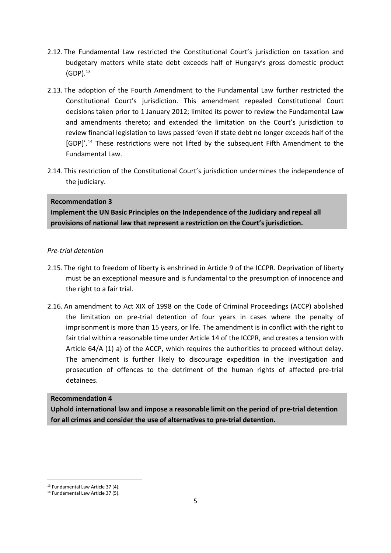- 2.12. The Fundamental Law restricted the Constitutional Court's jurisdiction on taxation and budgetary matters while state debt exceeds half of Hungary's gross domestic product  $(GDP).<sup>13</sup>$
- 2.13. The adoption of the Fourth Amendment to the Fundamental Law further restricted the Constitutional Court's jurisdiction. This amendment repealed Constitutional Court decisions taken prior to 1 January 2012; limited its power to review the Fundamental Law and amendments thereto; and extended the limitation on the Court's jurisdiction to review financial legislation to laws passed 'even if state debt no longer exceeds half of the [GDP]'.<sup>14</sup> These restrictions were not lifted by the subsequent Fifth Amendment to the Fundamental Law.
- 2.14. This restriction of the Constitutional Court's jurisdiction undermines the independence of the judiciary.

## **Recommendation 3**

**Implement the UN Basic Principles on the Independence of the Judiciary and repeal all provisions of national law that represent a restriction on the Court's jurisdiction.** 

## *Pre-trial detention*

- 2.15. The right to freedom of liberty is enshrined in Article 9 of the ICCPR. Deprivation of liberty must be an exceptional measure and is fundamental to the presumption of innocence and the right to a fair trial.
- 2.16. An amendment to Act XIX of 1998 on the Code of Criminal Proceedings (ACCP) abolished the limitation on pre-trial detention of four years in cases where the penalty of imprisonment is more than 15 years, or life. The amendment is in conflict with the right to fair trial within a reasonable time under Article 14 of the ICCPR, and creates a tension with Article 64/A (1) a) of the ACCP, which requires the authorities to proceed without delay. The amendment is further likely to discourage expedition in the investigation and prosecution of offences to the detriment of the human rights of affected pre-trial detainees.

### **Recommendation 4**

**Uphold international law and impose a reasonable limit on the period of pre-trial detention for all crimes and consider the use of alternatives to pre-trial detention.**

**.** 

<sup>&</sup>lt;sup>13</sup> Fundamental Law Article 37 (4).

<sup>&</sup>lt;sup>14</sup> Fundamental Law Article 37 (5).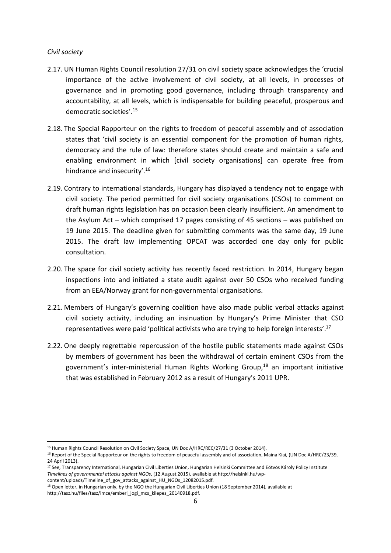#### *Civil society*

**.** 

- 2.17. UN Human Rights Council resolution 27/31 on civil society space acknowledges the 'crucial importance of the active involvement of civil society, at all levels, in processes of governance and in promoting good governance, including through transparency and accountability, at all levels, which is indispensable for building peaceful, prosperous and democratic societies'. 15
- 2.18. The Special Rapporteur on the rights to freedom of peaceful assembly and of association states that 'civil society is an essential component for the promotion of human rights, democracy and the rule of law: therefore states should create and maintain a safe and enabling environment in which [civil society organisations] can operate free from hindrance and insecurity'.<sup>16</sup>
- 2.19. Contrary to international standards, Hungary has displayed a tendency not to engage with civil society. The period permitted for civil society organisations (CSOs) to comment on draft human rights legislation has on occasion been clearly insufficient. An amendment to the Asylum Act – which comprised 17 pages consisting of 45 sections – was published on 19 June 2015. The deadline given for submitting comments was the same day, 19 June 2015. The draft law implementing OPCAT was accorded one day only for public consultation.
- 2.20. The space for civil society activity has recently faced restriction. In 2014, Hungary began inspections into and initiated a state audit against over 50 CSOs who received funding from an EEA/Norway grant for non-governmental organisations.
- 2.21. Members of Hungary's governing coalition have also made public verbal attacks against civil society activity, including an insinuation by Hungary's Prime Minister that CSO representatives were paid 'political activists who are trying to help foreign interests'.<sup>17</sup>
- 2.22. One deeply regrettable repercussion of the hostile public statements made against CSOs by members of government has been the withdrawal of certain eminent CSOs from the government's inter-ministerial Human Rights Working Group, <sup>18</sup> an important initiative that was established in February 2012 as a result of Hungary's 2011 UPR.

<sup>15</sup> Human Rights Council Resolution on Civil Society Space, UN Doc A/HRC/REC/27/31 (3 October 2014).

<sup>&</sup>lt;sup>16</sup> Report of the Special Rapporteur on the rights to freedom of peaceful assembly and of association, Maina Kiai, (UN Doc A/HRC/23/39, 24 April 2013).

<sup>&</sup>lt;sup>17</sup> See, Transparency International, Hungarian Civil Liberties Union, Hungarian Helsinki Committee and Eötvös Károly Policy Institute *Timelines of governmental attacks against NGOs*, (12 August 2015), available at http://helsinki.hu/wpcontent/uploads/Timeline\_of\_gov\_attacks\_against\_HU\_NGOs\_12082015.pdf.

<sup>&</sup>lt;sup>18</sup> Open letter, in Hungarian only, by the NGO the Hungarian Civil Liberties Union (18 September 2014), available at http://tasz.hu/files/tasz/imce/emberi\_jogi\_mcs\_kilepes\_20140918.pdf.